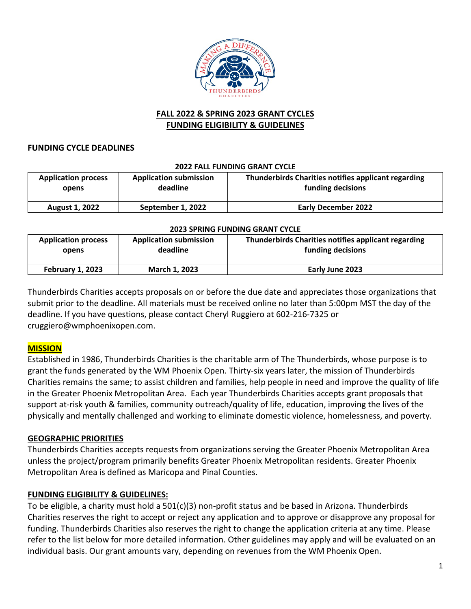

# **FALL 2022 & SPRING 2023 GRANT CYCLES FUNDING ELIGIBILITY & GUIDELINES**

#### **FUNDING CYCLE DEADLINES**

#### **2022 FALL FUNDING GRANT CYCLE**

| <b>Application process</b> | <b>Application submission</b> | Thunderbirds Charities notifies applicant regarding |
|----------------------------|-------------------------------|-----------------------------------------------------|
| opens                      | deadline                      | funding decisions                                   |
| <b>August 1, 2022</b>      | September 1, 2022             | <b>Early December 2022</b>                          |

#### **2023 SPRING FUNDING GRANT CYCLE**

| <b>Application process</b> | <b>Application submission</b> | Thunderbirds Charities notifies applicant regarding |
|----------------------------|-------------------------------|-----------------------------------------------------|
| opens                      | deadline                      | funding decisions                                   |
| <b>February 1, 2023</b>    | March 1, 2023                 | Early June 2023                                     |

Thunderbirds Charities accepts proposals on or before the due date and appreciates those organizations that submit prior to the deadline. All materials must be received online no later than 5:00pm MST the day of the deadline. If you have questions, please contact Cheryl Ruggiero at 602-216-7325 or cruggiero@wmphoenixopen.com.

# **MISSION**

Established in 1986, Thunderbirds Charities is the charitable arm of The Thunderbirds, whose purpose is to grant the funds generated by the WM Phoenix Open. Thirty-six years later, the mission of Thunderbirds Charities remains the same; to assist children and families, help people in need and improve the quality of life in the Greater Phoenix Metropolitan Area. Each year Thunderbirds Charities accepts grant proposals that support at-risk youth & families, community outreach/quality of life, education, improving the lives of the physically and mentally challenged and working to eliminate domestic violence, homelessness, and poverty.

# **GEOGRAPHIC PRIORITIES**

Thunderbirds Charities accepts requests from organizations serving the Greater Phoenix Metropolitan Area unless the project/program primarily benefits Greater Phoenix Metropolitan residents. Greater Phoenix Metropolitan Area is defined as Maricopa and Pinal Counties.

# **FUNDING ELIGIBILITY & GUIDELINES:**

To be eligible, a charity must hold a 501(c)(3) non-profit status and be based in Arizona. Thunderbirds Charities reserves the right to accept or reject any application and to approve or disapprove any proposal for funding. Thunderbirds Charities also reserves the right to change the application criteria at any time. Please refer to the list below for more detailed information. Other guidelines may apply and will be evaluated on an individual basis. Our grant amounts vary, depending on revenues from the WM Phoenix Open.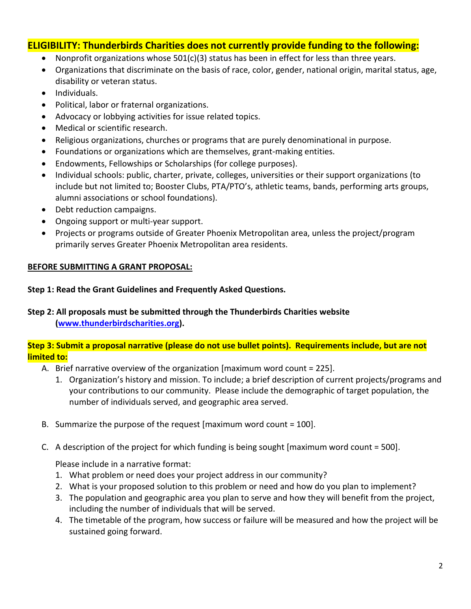# **ELIGIBILITY: Thunderbirds Charities does not currently provide funding to the following:**

- Nonprofit organizations whose 501(c)(3) status has been in effect for less than three years.
- Organizations that discriminate on the basis of race, color, gender, national origin, marital status, age, disability or veteran status.
- Individuals.
- Political, labor or fraternal organizations.
- Advocacy or lobbying activities for issue related topics.
- Medical or scientific research.
- Religious organizations, churches or programs that are purely denominational in purpose.
- Foundations or organizations which are themselves, grant-making entities.
- Endowments, Fellowships or Scholarships (for college purposes).
- Individual schools: public, charter, private, colleges, universities or their support organizations (to include but not limited to; Booster Clubs, PTA/PTO's, athletic teams, bands, performing arts groups, alumni associations or school foundations).
- Debt reduction campaigns.
- Ongoing support or multi-year support.
- Projects or programs outside of Greater Phoenix Metropolitan area, unless the project/program primarily serves Greater Phoenix Metropolitan area residents.

# **BEFORE SUBMITTING A GRANT PROPOSAL:**

#### **Step 1: Read the Grant Guidelines and Frequently Asked Questions.**

**Step 2: All proposals must be submitted through the Thunderbirds Charities website [\(www.thunderbirdscharities.org\)](http://www.thunderbirdscharities.org/).**

# **Step 3: Submit a proposal narrative (please do not use bullet points). Requirements include, but are not limited to:**

- A. Brief narrative overview of the organization [maximum word count = 225].
	- 1. Organization's history and mission. To include; a brief description of current projects/programs and your contributions to our community. Please include the demographic of target population, the number of individuals served, and geographic area served.
- B. Summarize the purpose of the request [maximum word count  $= 100$ ].
- C. A description of the project for which funding is being sought [maximum word count = 500].

Please include in a narrative format:

- 1. What problem or need does your project address in our community?
- 2. What is your proposed solution to this problem or need and how do you plan to implement?
- 3. The population and geographic area you plan to serve and how they will benefit from the project, including the number of individuals that will be served.
- 4. The timetable of the program, how success or failure will be measured and how the project will be sustained going forward.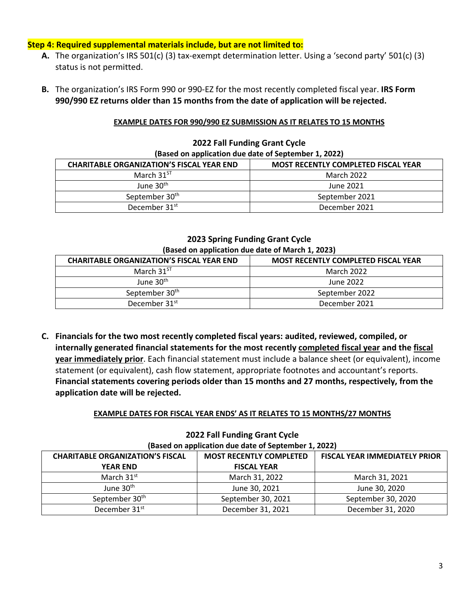#### **Step 4: Required supplemental materials include, but are not limited to:**

- **A.** The organization's IRS 501(c) (3) tax-exempt determination letter. Using a 'second party' 501(c) (3) status is not permitted.
- **B.** The organization's IRS Form 990 or 990-EZ for the most recently completed fiscal year. **IRS Form 990/990 EZ returns older than 15 months from the date of application will be rejected.**

#### **EXAMPLE DATES FOR 990/990 EZ SUBMISSION AS IT RELATES TO 15 MONTHS**

| (Based on application due date of September 1, 2022)                                           |                |  |  |
|------------------------------------------------------------------------------------------------|----------------|--|--|
| <b>CHARITABLE ORGANIZATION'S FISCAL YEAR END</b><br><b>MOST RECENTLY COMPLETED FISCAL YEAR</b> |                |  |  |
| March $31^{5}$                                                                                 | March 2022     |  |  |
| June $30th$                                                                                    | June 2021      |  |  |
| September 30 <sup>th</sup>                                                                     | September 2021 |  |  |
| December 31 <sup>st</sup>                                                                      | December 2021  |  |  |

# **2022 Fall Funding Grant Cycle**

#### **2023 Spring Funding Grant Cycle (Based on application due date of March 1, 2023)**

| <b>CHARITABLE ORGANIZATION'S FISCAL YEAR END</b> | <b>MOST RECENTLY COMPLETED FISCAL YEAR</b> |
|--------------------------------------------------|--------------------------------------------|
| March $31^{5}$                                   | March 2022                                 |
| June 30 <sup>th</sup>                            | June 2022                                  |
| September 30th                                   | September 2022                             |
| December 31 <sup>st</sup>                        | December 2021                              |

**C. Financials for the two most recently completed fiscal years: audited, reviewed, compiled, or internally generated financial statements for the most recently completed fiscal year and the fiscal year immediately prior**. Each financial statement must include a balance sheet (or equivalent), income statement (or equivalent), cash flow statement, appropriate footnotes and accountant's reports. **Financial statements covering periods older than 15 months and 27 months, respectively, from the application date will be rejected.** 

#### **EXAMPLE DATES FOR FISCAL YEAR ENDS' AS IT RELATES TO 15 MONTHS/27 MONTHS**

| 2022 Fall Funding Grant Cycle                                                                                     |                    |                    |  |  |
|-------------------------------------------------------------------------------------------------------------------|--------------------|--------------------|--|--|
| (Based on application due date of September 1, 2022)                                                              |                    |                    |  |  |
| <b>CHARITABLE ORGANIZATION'S FISCAL</b><br><b>MOST RECENTLY COMPLETED</b><br><b>FISCAL YEAR IMMEDIATELY PRIOR</b> |                    |                    |  |  |
| <b>YEAR END</b>                                                                                                   | <b>FISCAL YEAR</b> |                    |  |  |
| March 31 <sup>st</sup>                                                                                            | March 31, 2022     | March 31, 2021     |  |  |
| June 30 <sup>th</sup>                                                                                             | June 30, 2021      | June 30, 2020      |  |  |
| September 30 <sup>th</sup>                                                                                        | September 30, 2021 | September 30, 2020 |  |  |
| December 31 <sup>st</sup>                                                                                         | December 31, 2021  | December 31, 2020  |  |  |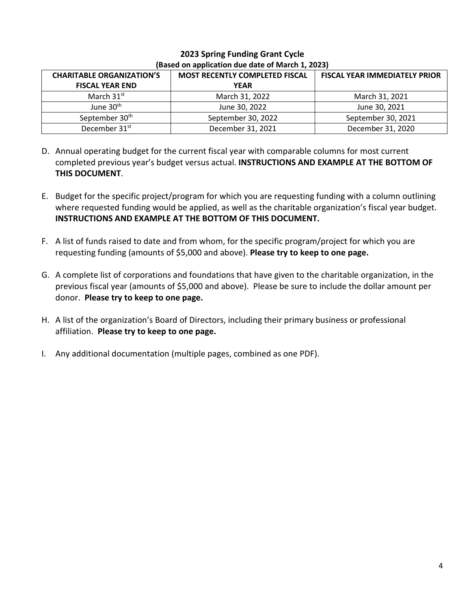| <b>CHARITABLE ORGANIZATION'S</b> | <b>MOST RECENTLY COMPLETED FISCAL</b> | <b>FISCAL YEAR IMMEDIATELY PRIOR</b> |  |
|----------------------------------|---------------------------------------|--------------------------------------|--|
| <b>FISCAL YEAR END</b>           | <b>YEAR</b>                           |                                      |  |
| March $31st$                     | March 31, 2022                        | March 31, 2021                       |  |
| June 30 <sup>th</sup>            | June 30, 2022                         | June 30, 2021                        |  |
| September 30th                   | September 30, 2022                    | September 30, 2021                   |  |
| December 31 <sup>st</sup>        | December 31, 2021                     | December 31, 2020                    |  |

# **2023 Spring Funding Grant Cycle (Based on application due date of March 1, 2023)**

- D. Annual operating budget for the current fiscal year with comparable columns for most current completed previous year's budget versus actual. **INSTRUCTIONS AND EXAMPLE AT THE BOTTOM OF THIS DOCUMENT**.
- E. Budget for the specific project/program for which you are requesting funding with a column outlining where requested funding would be applied, as well as the charitable organization's fiscal year budget. **INSTRUCTIONS AND EXAMPLE AT THE BOTTOM OF THIS DOCUMENT.**
- F. A list of funds raised to date and from whom, for the specific program/project for which you are requesting funding (amounts of \$5,000 and above). **Please try to keep to one page.**
- G. A complete list of corporations and foundations that have given to the charitable organization, in the previous fiscal year (amounts of \$5,000 and above). Please be sure to include the dollar amount per donor. **Please try to keep to one page.**
- H. A list of the organization's Board of Directors, including their primary business or professional affiliation. **Please try to keep to one page.**
- I. Any additional documentation (multiple pages, combined as one PDF).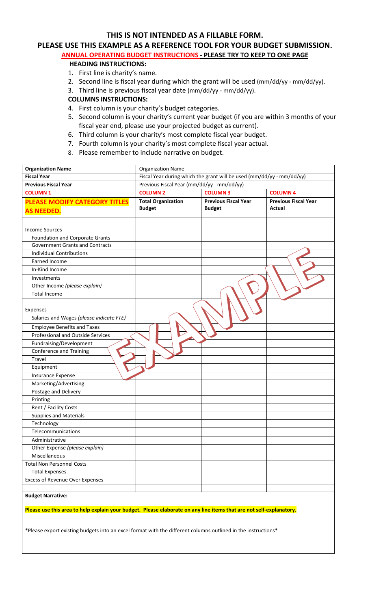# **THIS IS NOT INTENDED AS A FILLABLE FORM.**

# **PLEASE USE THIS EXAMPLE AS A REFERENCE TOOL FOR YOUR BUDGET SUBMISSION.**

# **ANNUAL OPERATING BUDGET INSTRUCTIONS - PLEASE TRY TO KEEP TO ONE PAGE**

#### **HEADING INSTRUCTIONS:**

- 1. First line is charity's name.
- 2. Second line is fiscal year during which the grant will be used (mm/dd/yy mm/dd/yy).
- 3. Third line is previous fiscal year date (mm/dd/yy mm/dd/yy).

#### **COLUMNS INSTRUCTIONS:**

- 4. First column is your charity's budget categories.
- 5. Second column is your charity's current year budget (if you are within 3 months of your fiscal year end, please use your projected budget as current).
- 6. Third column is your charity's most complete fiscal year budget.
- 7. Fourth column is your charity's most complete fiscal year actual.
- 8. Please remember to include narrative on budget.

| <b>Organization Name</b>                                                                                            | <b>Organization Name</b>                                              |                             |                             |
|---------------------------------------------------------------------------------------------------------------------|-----------------------------------------------------------------------|-----------------------------|-----------------------------|
| <b>Fiscal Year</b>                                                                                                  | Fiscal Year during which the grant will be used (mm/dd/yy - mm/dd/yy) |                             |                             |
| <b>Previous Fiscal Year</b>                                                                                         | Previous Fiscal Year (mm/dd/yy - mm/dd/yy)                            |                             |                             |
| <b>COLUMN1</b>                                                                                                      | <b>COLUMN 2</b>                                                       | <b>COLUMN3</b>              | <b>COLUMN 4</b>             |
| <b>PLEASE MODIFY CATEGORY TITLES</b>                                                                                | <b>Total Organization</b>                                             | <b>Previous Fiscal Year</b> | <b>Previous Fiscal Year</b> |
| <b>AS NEEDED.</b>                                                                                                   | <b>Budget</b>                                                         | <b>Budget</b>               | Actual                      |
|                                                                                                                     |                                                                       |                             |                             |
| <b>Income Sources</b>                                                                                               |                                                                       |                             |                             |
| <b>Foundation and Corporate Grants</b>                                                                              |                                                                       |                             |                             |
| <b>Government Grants and Contracts</b>                                                                              |                                                                       |                             |                             |
| <b>Individual Contributions</b>                                                                                     |                                                                       |                             |                             |
| <b>Earned Income</b>                                                                                                |                                                                       |                             |                             |
| In-Kind Income                                                                                                      |                                                                       |                             |                             |
| Investments                                                                                                         |                                                                       |                             |                             |
| Other Income (please explain)                                                                                       |                                                                       |                             |                             |
| <b>Total Income</b>                                                                                                 |                                                                       |                             |                             |
|                                                                                                                     |                                                                       |                             |                             |
| Expenses                                                                                                            |                                                                       |                             |                             |
| Salaries and Wages (please indicate FTE)                                                                            |                                                                       |                             |                             |
| <b>Employee Benefits and Taxes</b>                                                                                  |                                                                       |                             |                             |
| Professional and Outside Services                                                                                   |                                                                       |                             |                             |
| Fundraising/Development                                                                                             |                                                                       |                             |                             |
| <b>Conference and Training</b>                                                                                      |                                                                       |                             |                             |
| <b>Travel</b>                                                                                                       |                                                                       |                             |                             |
| Equipment                                                                                                           |                                                                       |                             |                             |
| Insurance Expense                                                                                                   |                                                                       |                             |                             |
| Marketing/Advertising                                                                                               |                                                                       |                             |                             |
| Postage and Delivery                                                                                                |                                                                       |                             |                             |
| Printing                                                                                                            |                                                                       |                             |                             |
| Rent / Facility Costs                                                                                               |                                                                       |                             |                             |
| <b>Supplies and Materials</b>                                                                                       |                                                                       |                             |                             |
| Technology                                                                                                          |                                                                       |                             |                             |
| Telecommunications                                                                                                  |                                                                       |                             |                             |
| Administrative                                                                                                      |                                                                       |                             |                             |
| Other Expense (please explain)                                                                                      |                                                                       |                             |                             |
| Miscellaneous                                                                                                       |                                                                       |                             |                             |
| <b>Total Non Personnel Costs</b>                                                                                    |                                                                       |                             |                             |
| <b>Total Expenses</b>                                                                                               |                                                                       |                             |                             |
| <b>Excess of Revenue Over Expenses</b>                                                                              |                                                                       |                             |                             |
| <b>Budget Narrative:</b>                                                                                            |                                                                       |                             |                             |
| Please use this area to help explain your budget. Please elaborate on any line items that are not self-explanatory. |                                                                       |                             |                             |
|                                                                                                                     |                                                                       |                             |                             |
| *Please export existing budgets into an excel format with the different columns outlined in the instructions*       |                                                                       |                             |                             |